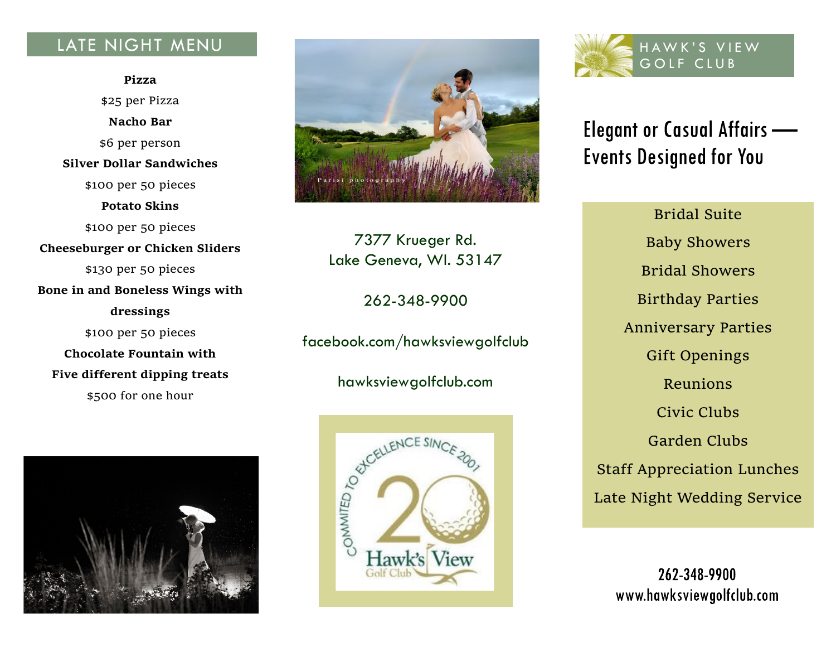## LATE NIGHT MENU

**Pizza** \$25 per Pizza **Nacho Bar** \$6 per person **Silver Dollar Sandwiches** \$100 per 50 pieces **Potato Skins** \$100 per 50 pieces **Cheeseburger or Chicken Sliders** \$130 per 50 pieces **Bone in and Boneless Wings with dressings** \$100 per 50 pieces **Chocolate Fountain with Five different dipping treats** \$500 for one hour





7377 Krueger Rd. Lake Geneva, WI. 53147

262-348-9900

facebook.com/hawksviewgolfclub

hawksviewgolfclub.com





# **Elegant or Casual Affairs — Events Designed for You**

Bridal Suite Baby Showers Bridal Showers Birthday Parties Anniversary Parties Gift Openings Reunions Civic Clubs Garden Clubs Staff Appreciation Lunches Late Night Wedding Service

262-348-9900 www.hawksviewgolfclub.com